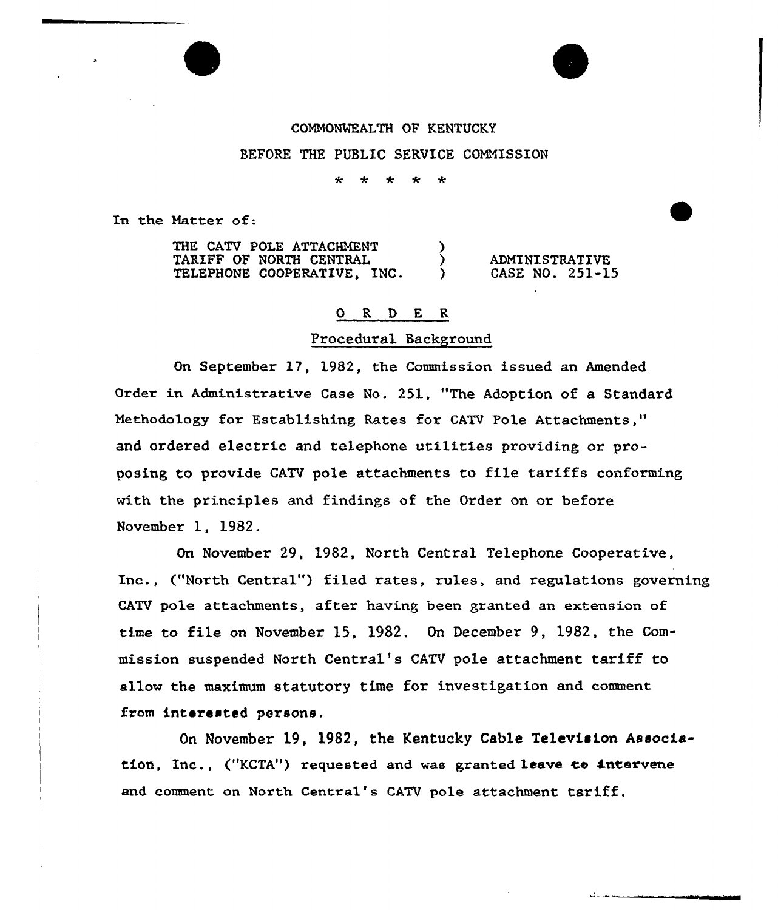## COMMONWEALTH OF KENTUCKY

# BEFORE THE PUBLIC SERVICE COMMISSION

#### مه ÷  $\star$  $\star$ ÷

In the Matter of:

| THE CATV POLE ATTACHMENT       |  |                       |
|--------------------------------|--|-----------------------|
| <b>TARIFF OF NORTH CENTRAL</b> |  | <b>ADMINISTRATIVE</b> |
| TELEPHONE COOPERATIVE, INC.    |  | CASE NO. 251-15       |

## 0 R D E R

## Procedural Background

On September 17, 1982, the Commission issued an Amended Order in Administrative Case No. 251, "The Adoption of a Standard Methodology for Establishing Rates for CATV Pole Attachments," and ordered electric and telephone utilities providing or proposing to provide CATV pole attachments to file tariffs conforming with the principles and findings of the Order on or before November 1, 1982.

On November 29, 1982, North Central Telephone Cooperative, Inc., ("North Central") filed rates, rules, and regulations governing CATV pole attachments, after having been granted an extension of time to file on November 15, 1982. On December 9, 1982, the Commission suspended North Central's CATV pole attachment tariff to allow the maximum statutory time for investigation and comment from interested persons.

On November 19, 1982, the Kentucky Cable Television Association, Inc., ("KCTA") requested and was granted leave to intervene and comment on North Central's CATV pole attachment tariff.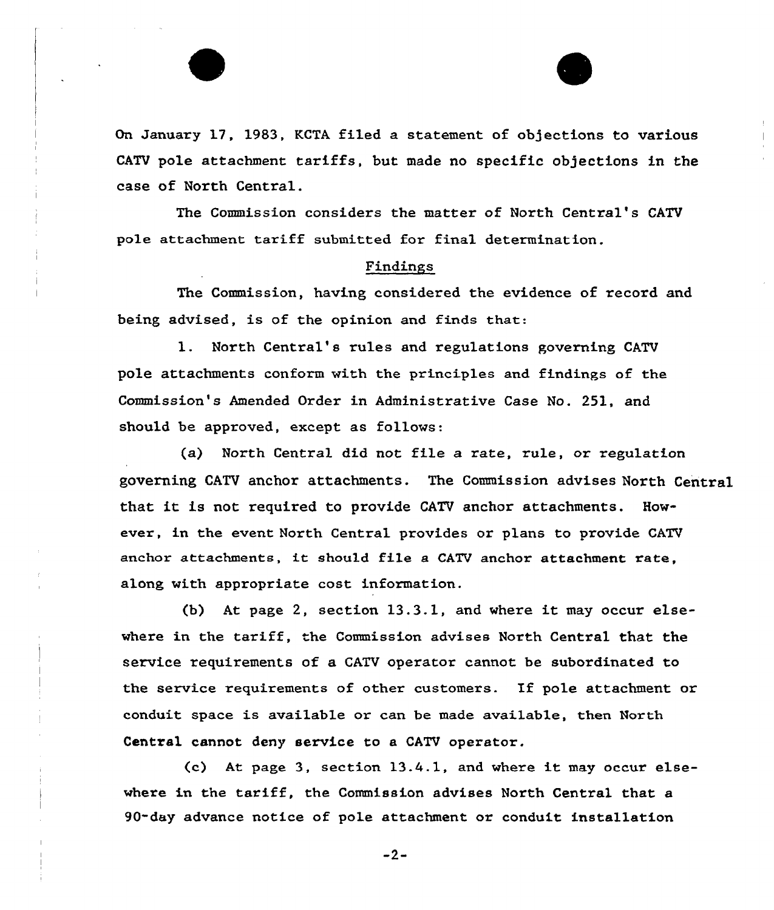On January 17, 1983, KCTA filed a statement of objections to various CATV pole attachment tariffs, but made no specific objections in the case of North Central.

The Commission considers the matter of North Central's CATV pole attachment tariff submitted. for final determination.

# Findings

The Commission, having considered the evidence of record and being advised, is of the opinion and finds that:

1. North Central's rules and regulations governing CATV pole attachments conform with the principles and findings of the Commission's Amended Order in Administrative Case No. 251, and should be approved, except as follows:

(a) North Centxal did not file a xate, rule, or regulation governing CATV anchor attachments. The Commission advises North Central that it is not required to provide CATV anchor attachments. However, in the event North Central provides or plans to provide CATV anchor attachments, it should file a CATV anchor attachment rate. along with appropriate cost information.

(b) At page 2, section 13.3.1, and where it may occur elsewhere in the tariff, the Commission advises North Central that the service requirements of a CATV operator cannot be subordinated to the service requirements of other customers. If pole attachment or conduit space is available or can be made available, then North Central cannot deny service to a CATV operator.

(c) At page 3, section 13.4.1, and where it may occur elsewhere in the tariff, the Commission advises North Central that a 90-day advance notice of pole attachment or conduit installation

 $-2-$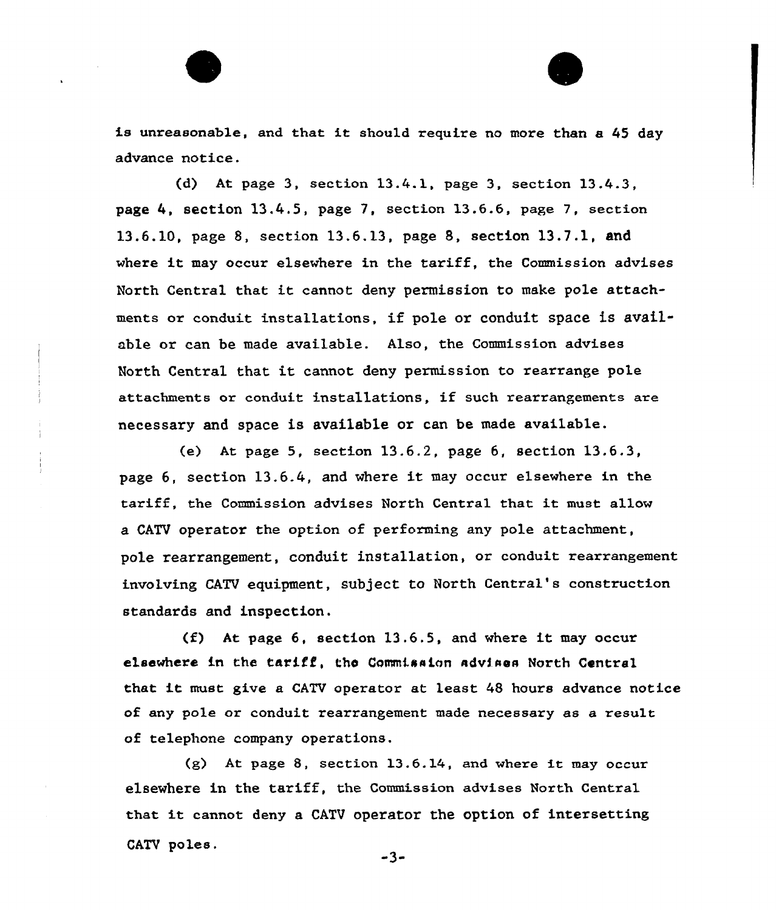is unreasonab1e, and that it should require no more than a <sup>45</sup> day advance notice.

(d) At page 3, section  $13.4.1$ , page 3, section  $13.4.3$ , page 4, section 13.4.5, page 7, section 13.6.6, page 7, section 13.6.10, page 8, section 13.6.13, page 8, section 13.7.1, and where it may occur elsewhere in the tariff, the Commission advises North Central that it cannot deny permission to make pole attachments or conduit installations, if pole or conduit space is available or can be made available. Also, the Commission advises North Central that it cannot deny permission to rearrange pole attachments or conduit installations, if such rearrangements are necessary and space is available or can be made available.

(e) At page 5, section 13.6.2, page 6, section 13.6.3, page 6, section 13.6.4, and where it may occur elsewhere in the tariff, the Commission advises North Central that it must a11ow a CATV operator the option of performing any pole attachment, pole rearrangement, conduit installation, or conduit rearrangement involving CATV equipment, subject to North Central's construction standards and inspection.

(f) At page 6, section 13,6.5, and where it may occur elsewhere in the tariff, the Commission advises North Central that it must give <sup>a</sup> CATV operator at least <sup>48</sup> hours advance notice of any pole or conduit rearrangement made necessary as a result of telephone company operations.

{g) At page 8, section 13.6.14, and where it may occur elsewhere in the tariff, the Commission advises North Central that it cannot deny <sup>a</sup> CATV operator the option of intersettingCATV poles.

 $-3-$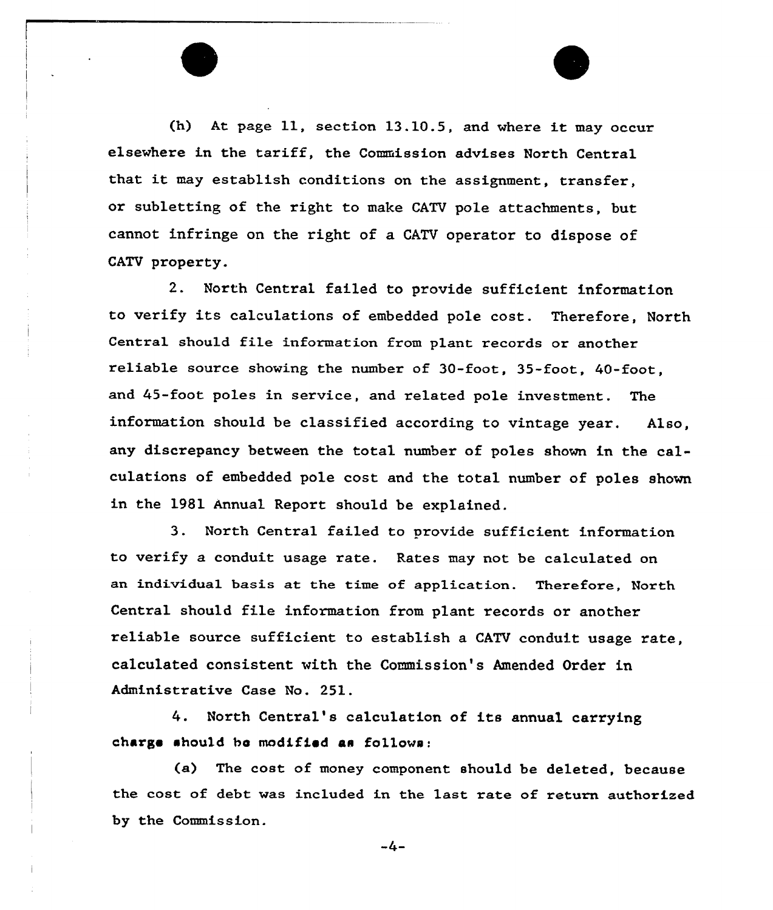(h) At page 11, section 13.10.5, and where it may occur elsevhere in the tariff, the Commission advises North Central that it may establish conditions on the assignment, transfer, or subletting of the right to make CATV pole attachments, but cannot infringe on the right of a CATV operator to dispose of CATV property.

2. North Central failed to provide sufficient information to verify its calculations of embedded pole cost. Therefore, North Central should file information from plant records or another reliable source shoving the number of 30-foot, 35-foot, 40-foot, and 45-foot poles in service, and related pole investment. The information should be classified according to vintage year. Also, any discrepancy between the total number of poles shown in the calculations of embedded pole cost and the total number of poles shown in the 1981 Annual Report should be explained.

3. North Central failed to provide sufficient information to verify a conduit usage rate. Rates may not be calculated on an individual basis at the time of application. Therefore, North Central should file information from plant records or another reliable source sufficient to establish a CATV conduit usage rate, calculated consistent with the Commission's Amended Order in Administrative Case No. 251.

4. North Central's calculation of its annual carrying charge ahou1d be modified as follows:

(a) The cost of money component should be deleted, because the cost of debt vas included in the last rate of return authorized by the Commission.

-4—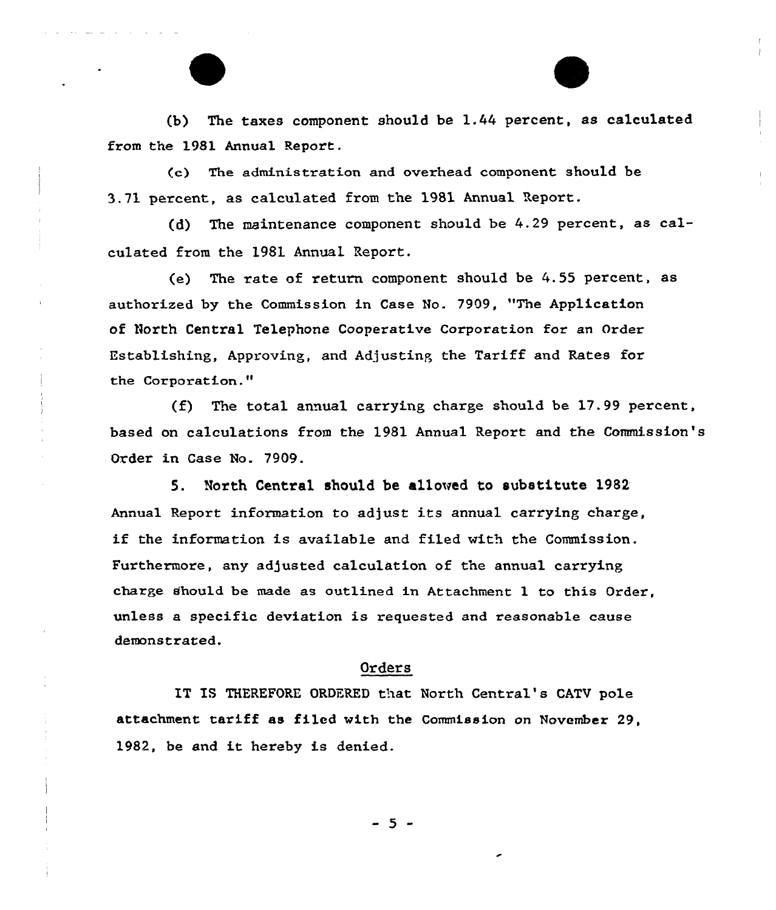(b) The taxes component should be 1.44 percent, as calculated from the 1981 Annual Report.

(c) The administration and ovexhead component should be 3.71 percent, as calculated from the 1981 Annual Report.

(d) The maintenance component should be 4.29 percent, as calculated from the 1981 Annual Report.

(e) The rate of return component should be 4.55 pexcent, as authorized by the Commission in Case No. 7909, "The Application of North Central Telephone Cooperative Corporation for an Order Establishing, Approving, and Adjusting the Tariff and Rates for the Corporation."

(f) The total annual carrying charge should be  $17.99$  percent, based on calculations from the 1981 Annual Report and the Connnission's Order in Case No. 7909.

5. North Central should be allowed to substitute 1982 Annual Repoxt information to adjust its annual carrying charge, if the information is available and filed with the Commission. Furthermore, any adjusted calculation of the annual carrying charge should be made as outlined in Attachment 1 to this Oxder, unless a specific deviation is requested and reasonable cause demonstrated.

#### Orders

IT IS THEREFORE ORDERED that North Central's CATV pole attachment. tariff as filed with the Commission on November 29, 1982, be and it hereby is denied.

- 5 -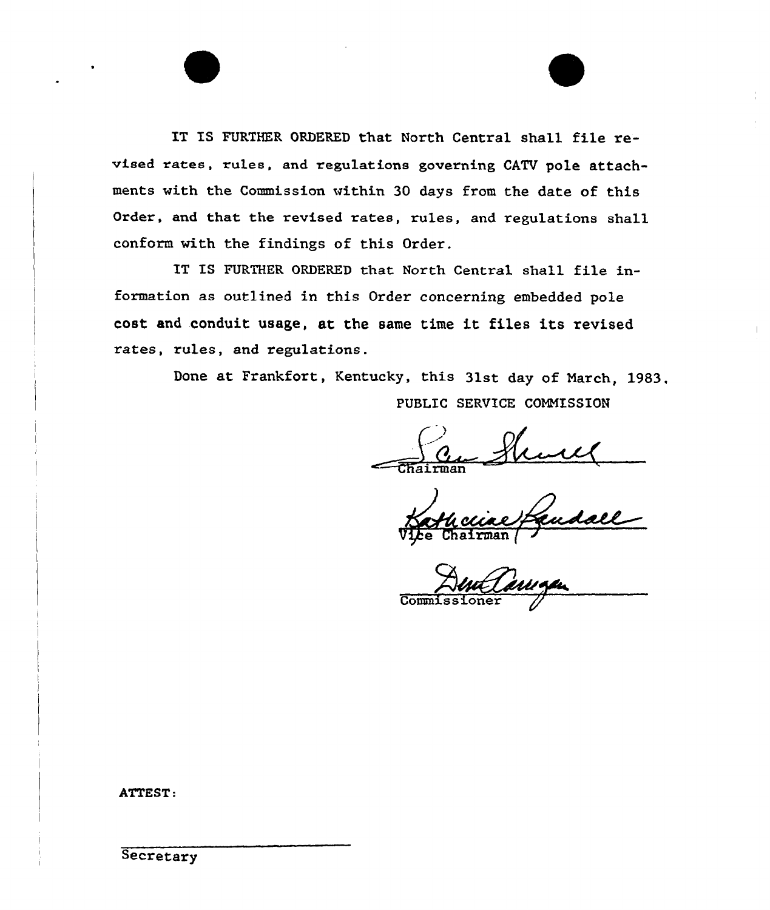IT IS FURTHER ORDERED that North Central shall file revised rates, rules, and regulations governing CATV pole attachments with the Commission within 30 days from the date of this Order, and that the revised rates, rules, and regulations shall conform with the findings of this Order.

IT IS FURTHER ORDERED that North Central shall file information as outlined in this Order concerning embedded pole cost and conduit usage, at the same time it files its revised rates, rules, and regulations.

> Done at Frankfort, Kentucky, this 31st day of March, 1983, PUBLIC SERVICE COMMISSION

 $\bigg\{$ Chairman

refendall

Commissioner

ATTEST:

**Secretary**